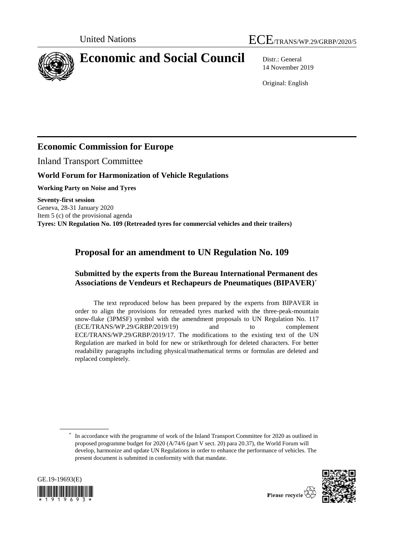



# **Economic and Social Council** Distr.: General

14 November 2019

Original: English

# **Economic Commission for Europe**

Inland Transport Committee

## **World Forum for Harmonization of Vehicle Regulations**

**Working Party on Noise and Tyres**

**Seventy-first session** Geneva, 28-31 January 2020 Item 5 (c) of the provisional agenda **Tyres: UN Regulation No. 109 (Retreaded tyres for commercial vehicles and their trailers)**

# **Proposal for an amendment to UN Regulation No. 109**

### **Submitted by the experts from the Bureau International Permanent des Associations de Vendeurs et Rechapeurs de Pneumatiques (BIPAVER)\***

The text reproduced below has been prepared by the experts from BIPAVER in order to align the provisions for retreaded tyres marked with the three-peak-mountain snow-flake (3PMSF) symbol with the amendment proposals to UN Regulation No. 117 (ECE/TRANS/WP.29/GRBP/2019/19) and to complement ECE/TRANS/WP.29/GRBP/2019/17. The modifications to the existing text of the UN Regulation are marked in bold for new or strikethrough for deleted characters. For better readability paragraphs including physical/mathematical terms or formulas are deleted and replaced completely.

<sup>\*</sup> In accordance with the programme of work of the Inland Transport Committee for 2020 as outlined in proposed programme budget for 2020 (A/74/6 (part V sect. 20) para 20.37), the World Forum will develop, harmonize and update UN Regulations in order to enhance the performance of vehicles. The present document is submitted in conformity with that mandate.



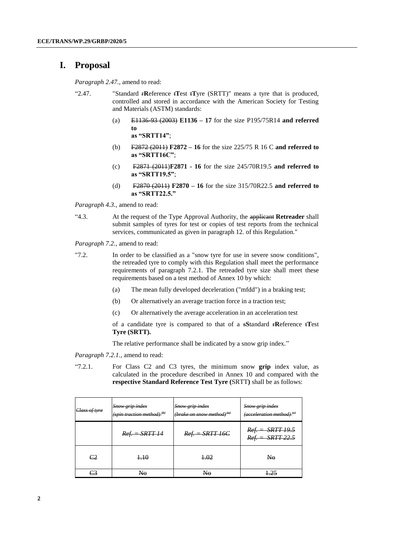### **I. Proposal**

*Paragraph 2.47.,* amend to read:

- "2.47. "Standard r**R**eference t**T**est t**T**yre (SRTT)" means a tyre that is produced, controlled and stored in accordance with the American Society for Testing and Materials (ASTM) standards:
	- (a) E1136-93 (2003) **E1136 – 17** for the size P195/75R14 **and referred to as "SRTT14"**;
	- (b) F2872 (2011) **F2872 – 16** for the size 225/75 R 16 C **and referred to as "SRTT16C"**;
	- (c) F2871 (2011)**F2871 - 16** for the size 245/70R19.5 **and referred to as "SRTT19.5"**;
	- (d) F2870 (2011) **F2870 – 16** for the size 315/70R22.5 **and referred to as "SRTT22.5."**

*Paragraph 4.3.,* amend to read:

"4.3. At the request of the Type Approval Authority, the applicant **Retreader** shall submit samples of tyres for test or copies of test reports from the technical services, communicated as given in paragraph 12. of this Regulation."

*Paragraph 7.2.,* amend to read:

- "7.2. In order to be classified as a "snow tyre for use in severe snow conditions", the retreaded tyre to comply with this Regulation shall meet the performance requirements of paragraph 7.2.1. The retreaded tyre size shall meet these requirements based on a test method of Annex 10 by which:
	- (a) The mean fully developed deceleration ("mfdd") in a braking test;
	- (b) Or alternatively an average traction force in a traction test;
	- (c) Or alternatively the average acceleration in an acceleration test

of a candidate tyre is compared to that of a s**S**tandard r**R**eference t**T**est **Tyre (SRTT).**

The relative performance shall be indicated by a snow grip index."

*Paragraph 7.2.1.,* amend to read:

"7.2.1. For Class C2 and C3 tyres, the minimum snow **grip** index value, as calculated in the procedure described in Annex 10 and compared with the **respective Standard Reference Test Tyre (**SRTT**)** shall be as follows:

| Class of tyre  | <b>Snow grip index</b><br>Snow grip index<br>$(spin\ traction\ method)^{(b)}$<br>(brake on snow method) <sup>(a)</sup> |                   | Snow grip index<br>$(\text{acceleration method})^{\text{ (e)}}$ |
|----------------|------------------------------------------------------------------------------------------------------------------------|-------------------|-----------------------------------------------------------------|
|                | $Ref. = SRTT 14$                                                                                                       | $Ref. = SRTT 16C$ | $Ref. = SRTT 19.5$<br>$Ref. = SRTT 22.5$                        |
| C <sub>2</sub> | 4.10                                                                                                                   | 4.02              | N <sub>0</sub>                                                  |
| 23             | N <sub>0</sub>                                                                                                         | No                | $+25$                                                           |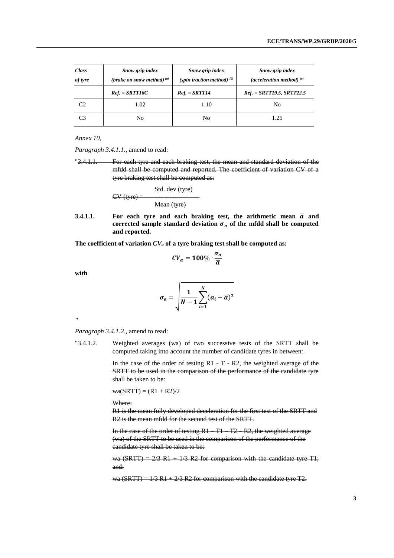| <b>Class</b><br>of tyre | Snow grip index<br>(brake on snow method) $^{(a)}$ | Snow grip index<br>(spin traction method) $(b)$ | Snow grip index<br>(acceleration method) $(c)$ |
|-------------------------|----------------------------------------------------|-------------------------------------------------|------------------------------------------------|
|                         | $Ref. = SRTT16C$                                   | $Ref. = SRTT14$                                 | $Ref. = SRTT19.5, SRTT22.5$                    |
| C2                      | 1.02                                               | 1.10                                            | No                                             |
| C3                      | No                                                 | No                                              | 1.25                                           |

*Annex 10,* 

*Paragraph 3.4.1.1*., amend to read:

"3.4.1.1. For each tyre and each braking test, the mean and standard deviation of the mfdd shall be computed and reported. The coefficient of variation CV of a tyre braking test shall be computed as:

$$
CV (type) =
$$
  
 
$$
CV (type)
$$
  
 
$$
Mean (type)
$$

**3.4.1.1.** For each tyre and each braking test, the arithmetic mean  $\overline{a}$  and corrected sample standard deviation  $\sigma_a$  of the mfdd shall be computed **and reported.**

**The coefficient of variation** *CV<sup>a</sup>* **of a tyre braking test shall be computed as:**

$$
CV_a = 100\% \cdot \frac{\sigma_a}{\overline{a}}
$$

**with**

$$
\sigma_a = \sqrt{\frac{1}{N-1} \sum_{i=1}^N (a_i - \overline{a})^2}
$$

**"**

*Paragraph 3.4.1.2.,* amend to read:

"3.4.1.2. Weighted averages (wa) of two successive tests of the SRTT shall be computed taking into account the number of candidate tyres in between:

> In the case of the order of testing R1 - T - R2, the weighted average of the SRTT to be used in the comparison of the performance of the candidate tyre shall be taken to be:

 $wa(SRTT) = (R1 + R2)/2$ 

#### Where:

R1 is the mean fully developed deceleration for the first test of the SRTT and R2 is the mean mfdd for the second test of the SRTT.

In the case of the order of testing R1 – T1 – T2 – R2, the weighted average (wa) of the SRTT to be used in the comparison of the performance of the candidate tyre shall be taken to be:

wa (SRTT) =  $2/3$  R1 +  $1/3$  R2 for comparison with the candidate tyre T1; and:

wa (SRTT) =  $1/3$  R1 +  $2/3$  R2 for comparison with the candidate tyre T2.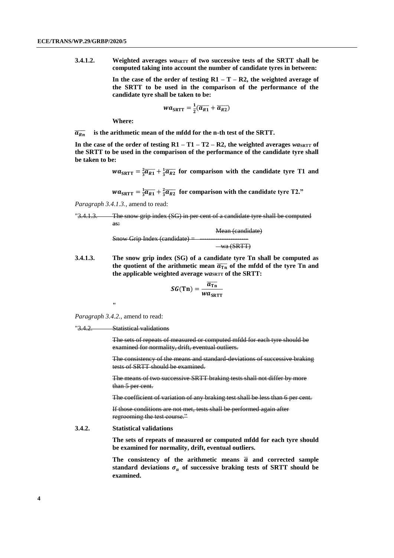**3.4.1.2. Weighted averages** *waskrr* **of two successive tests of the SRTT shall be computed taking into account the number of candidate tyres in between:**

> In the case of the order of testing  $R1 - T - R2$ , the weighted average of **the SRTT to be used in the comparison of the performance of the candidate tyre shall be taken to be:**

$$
wa_{\text{SRTT}} = \frac{1}{2}(\overline{a_{R1}} + \overline{a_{R2}})
$$

**Where:**

 $\overline{a_{kn}}$  is the arithmetic mean of the mfdd for the n-th test of the SRTT.

In the case of the order of testing  $R1 - T1 - T2 - R2$ , the weighted averages  $w a_{SRTT}$  of **the SRTT to be used in the comparison of the performance of the candidate tyre shall be taken to be:**

 $wa_{SRTT} = \frac{2}{3}\overline{a_{R1}} + \frac{1}{3}\overline{a_{R2}}$  for comparison with the candidate tyre T1 and

 $wa_{\text{SRTT}} = \frac{1}{3}\overline{a_{R1}} + \frac{2}{3}\overline{a_{R2}}$  for comparison with the candidate tyre T2."

*Paragraph 3.4.1.3.,* amend to read:

"3.4.1.3. The snow grip index (SG) in per cent of a candidate tyre shall be computed as: Mean (candidate)

 $Show Grip Index (candidate) = -wa$  (SRTT)

**3.4.1.3. The snow grip index (SG) of a candidate tyre Tn shall be computed as**  the quotient of the arithmetic mean  $\overline{a_{\text{tn}}}$  of the mfdd of the tyre Tn and **the applicable weighted average** *wa***SRTT of the SRTT:**

$$
SG(Tn) = \frac{\overline{a_{Tn}}}{wa_{SRTT}}
$$

**"**

*Paragraph 3.4.2.,* amend to read:

```
"3.4.2. Statistical validations
```
The sets of repeats of measured or computed mfdd for each tyre should be examined for normality, drift, eventual outliers.

The consistency of the means and standard-deviations of successive braking tests of SRTT should be examined.

The means of two successive SRTT braking tests shall not differ by more than 5 per cent.

The coefficient of variation of any braking test shall be less than 6 per cent.

If those conditions are not met, tests shall be performed again after regrooming the test course."

#### **3.4.2. Statistical validations**

**The sets of repeats of measured or computed mfdd for each tyre should be examined for normality, drift, eventual outliers.**

The consistency of the arithmetic means  $\bar{a}$  and corrected sample standard deviations  $\sigma_a$  of successive braking tests of SRTT should be **examined.**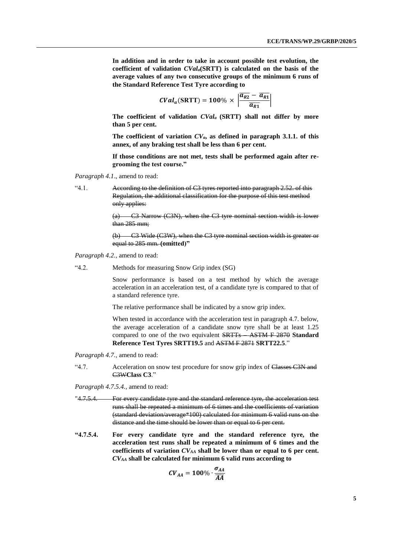**In addition and in order to take in account possible test evolution, the coefficient of validation** *CVala***(SRTT) is calculated on the basis of the average values of any two consecutive groups of the minimum 6 runs of the Standard Reference Test Tyre according to**

$$
CVal_a(SRTT) = 100\% \times \left| \frac{\overline{a_{R2}} - \overline{a_{R1}}}{\overline{a_{R1}}} \right|
$$

**The coefficient of validation** *CVala* **(SRTT) shall not differ by more than 5 per cent.**

**The coefficient of variation** *CVa***, as defined in paragraph 3.1.1. of this annex, of any braking test shall be less than 6 per cent.**

**If those conditions are not met, tests shall be performed again after regrooming the test course."**

*Paragraph 4.1*., amend to read:

"4.1. According to the definition of C3 tyres reported into paragraph 2.52. of this Regulation, the additional classification for the purpose of this test method only applies:

> (a) C3 Narrow (C3N), when the C3 tyre nominal section width is lower than 285 mm;

> (b) C3 Wide (C3W), when the C3 tyre nominal section width is greater or equal to 285 mm. **(omitted)"**

*Paragraph 4.2.,* amend to read:

"4.2. Methods for measuring Snow Grip index (SG)

Snow performance is based on a test method by which the average acceleration in an acceleration test, of a candidate tyre is compared to that of a standard reference tyre.

The relative performance shall be indicated by a snow grip index.

When tested in accordance with the acceleration test in paragraph 4.7. below, the average acceleration of a candidate snow tyre shall be at least 1.25 compared to one of the two equivalent SRTTs – ASTM F 2870 **Standard Reference Test Tyres SRTT19.5** and ASTM F 2871 **SRTT22.5**."

*Paragraph 4.7.,* amend to read:

"4.7. Acceleration on snow test procedure for snow grip index of Classes C3N and C3W**Class C3**."

*Paragraph 4.7.5.4.,* amend to read:

- "4.7.5.4. For every candidate tyre and the standard reference tyre, the acceleration test runs shall be repeated a minimum of 6 times and the coefficients of variation (standard deviation/average\*100) calculated for minimum 6 valid runs on the distance and the time should be lower than or equal to 6 per cent.
- **"4.7.5.4. For every candidate tyre and the standard reference tyre, the acceleration test runs shall be repeated a minimum of 6 times and the coefficients of variation** *CVAA* **shall be lower than or equal to 6 per cent.**  *CVAA* **shall be calculated for minimum 6 valid runs according to**

$$
CV_{AA} = 100\% \cdot \frac{\sigma_{AA}}{\overline{AA}}
$$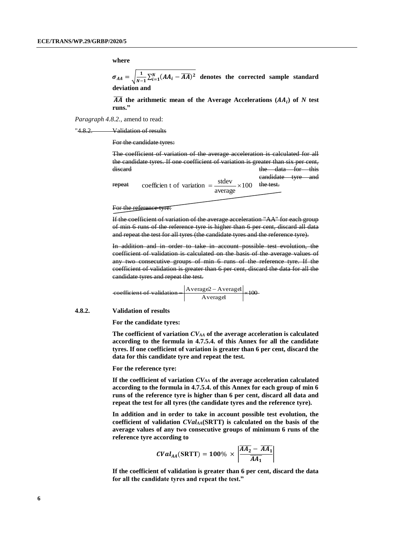**where**

 $\sigma_{AA} = \sqrt{\frac{1}{N-1}}$  $\frac{1}{N-1}\sum_{i=1}^{N}(AA_i - \overline{AA})^2$  denotes the corrected sample standard **deviation and**

 $\overline{AA}$  the arithmetic mean of the Average Accelerations  $(AA_i)$  of  $N$  test **runs."**

*Paragraph 4.8.2.,* amend to read:

"4.8.2. Validation of results

For the candidate tyres:

100 average repeat coefficien t of variation  $=$   $\frac{\text{stdev}}{\text{grad }x} \times 100$  the test. The coefficient of variation of the average acceleration is calculated for all the candidate tyres. If one coefficient of variation is greater than six per cent, discard the data for this candidate tyre and

For the reference tyre.

If the coefficient of variation of the average acceleration "AA" for each group of min 6 runs of the reference tyre is higher than 6 per cent, discard all data and repeat the test for all tyres (the candidate tyres and the reference tyre).

In addition and in order to take in account possible test evolution, the coefficient of validation is calculated on the basis of the average values of any two consecutive groups of min 6 runs of the reference tyre. If the coefficient of validation is greater than 6 per cent, discard the data for all the candidate tyres and repeat the test.

 $\frac{\text{kgc2} - \text{Avclagcr}}{\text{Averagel}} \times 100$  $\left\vert \frac{\text{ecoefficient of validation}}{\text{eof}} \right\vert = \left\vert \frac{\text{Average2} - \text{Average1}}{\text{fof}} \right\vert$ 

**4.8.2. Validation of results**

**For the candidate tyres:**

**The coefficient of variation** *CVAA* **of the average acceleration is calculated according to the formula in 4.7.5.4. of this Annex for all the candidate tyres. If one coefficient of variation is greater than 6 per cent, discard the data for this candidate tyre and repeat the test.** 

**For the reference tyre:**

**If the coefficient of variation** *CVAA* **of the average acceleration calculated according to the formula in 4.7.5.4. of this Annex for each group of min 6 runs of the reference tyre is higher than 6 per cent, discard all data and repeat the test for all tyres (the candidate tyres and the reference tyre).**

**In addition and in order to take in account possible test evolution, the coefficient of validation** *CValAA***(SRTT) is calculated on the basis of the average values of any two consecutive groups of minimum 6 runs of the reference tyre according to**

$$
CVal_{AA}(SRTT) = 100\% \times \left| \frac{\overline{AA_2} - \overline{AA_1}}{\overline{AA_1}} \right|
$$

**If the coefficient of validation is greater than 6 per cent, discard the data for all the candidate tyres and repeat the test."**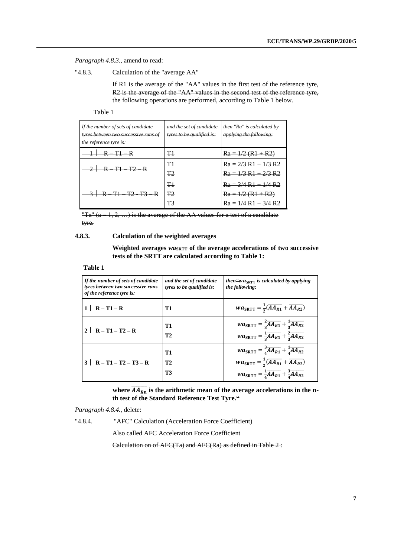*Paragraph 4.8.3.,* amend to read:

"4.8.3. Calculation of the "average AA"

If R1 is the average of the "AA" values in the first test of the reference tyre, R2 is the average of the "AA" values in the second test of the reference tyre, the following operations are performed, according to Table 1 below.

Table 1

| If the number of sets of candidate<br>tyres between two successive runs of<br>the reference tyre is: | and the set of candidate<br>tyres to be qualified is: | then "Ra" is calculated by<br>applying the following:                    |
|------------------------------------------------------------------------------------------------------|-------------------------------------------------------|--------------------------------------------------------------------------|
| $+\leftarrow R - T\leftarrow R$                                                                      | T1                                                    | $Ra = 1/2 (R1 + R2)$                                                     |
| $2 \times 12 R$                                                                                      | T <sub>1</sub><br>T2                                  | $Ra = 2/3 R1 + 1/3 R2$<br>$Ra = 1/3 R1 + 2/3 R2$                         |
| $3 \times 71$ T2 T3 R                                                                                | T1<br>T <sub>2</sub><br>Ŧ3                            | $Ra = 3/4 R1 + 1/4 R2$<br>$Ra = 1/2 (R1 + R2)$<br>$Ra = 1/4 R1 + 3/4 R2$ |

"Ta"  $(a = 1, 2, ...)$  is the average of the AA values for a test of a candidate tyre.

#### **4.8.3. Calculation of the weighted averages**

Weighted averages  $w a_{\text{SRTT}}$  of the average accelerations of two successive **tests of the SRTT are calculated according to Table 1:**

#### **Table 1**

| If the number of sets of candidate<br>tyres between two successive runs<br>of the reference tyre is: | and the set of candidate<br>tyres to be qualified is: | then "wa <sub>sprr</sub> is calculated by applying"<br>the following:                                                                                                                                                                                                      |
|------------------------------------------------------------------------------------------------------|-------------------------------------------------------|----------------------------------------------------------------------------------------------------------------------------------------------------------------------------------------------------------------------------------------------------------------------------|
| $1 \mid R - T1 - R$                                                                                  | T1                                                    | $wa_{\text{SRTT}} = \frac{1}{2}(\overline{AA_{R1}} + \overline{AA_{R2}})$                                                                                                                                                                                                  |
| 2   $R - T1 - T2 - R$                                                                                | <b>T1</b><br>T2                                       | $wa_{\text{SRTT}} = \frac{2}{3} \overline{A} \overline{A_{R1}} + \frac{1}{3} \overline{A} \overline{A_{R2}}$<br>$wa_{SRTT} = \frac{1}{3} \overline{AA_{R1}} + \frac{2}{3} \overline{AA_{R2}}$                                                                              |
| $3 \mid R - T1 - T2 - T3 - R$                                                                        | <b>T1</b><br>T2<br><b>T3</b>                          | $wa_{SRTT} = \frac{3}{4} \overline{AA_{R1}} + \frac{1}{4} \overline{AA_{R2}}$<br>$wa_{\text{SRTT}} = \frac{1}{2}(\overline{AA_{R1}} + \overline{AA_{R2}})$<br>$wa_{\text{SRTT}} = \frac{1}{4} \overline{A} \overline{A_{R1}} + \frac{3}{4} \overline{A} \overline{A_{R2}}$ |

where  $\overline{AA_{Rn}}$  is the arithmetic mean of the average accelerations in the n**th test of the Standard Reference Test Tyre."**

*Paragraph 4.8.4.,* delete:

"4.8.4. "AFC" Calculation (Acceleration Force Coefficient)

Also called AFC Acceleration Force Coefficient

Calculation on of AFC(Ta) and AFC(Ra) as defined in Table 2 :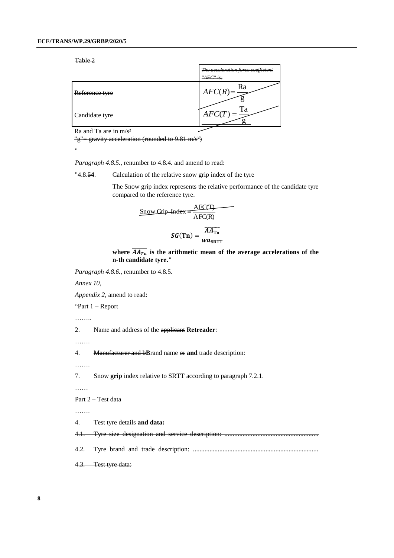Table 2

|                | The acceleration force coefficient<br>" $AFC$ " is: |
|----------------|-----------------------------------------------------|
| Reference tyre | Ra<br>$AFC(R) =$                                    |
| Candidate tyre | Гa<br>AFC(T)                                        |

Ra and Ta are in m/s²

 $\frac{\text{w}}{\text{g}} = \frac{\text{gravity acceleration}}{\text{(rounded to 9.81 m/s}^2)}$ 

*Paragraph 4.8.5.,* renumber to 4.8.4. and amend to read:

"4.8.5**4**. Calculation of the relative snow grip index of the tyre

The Snow grip index represents the relative performance of the candidate tyre compared to the reference tyre.

$$
\frac{\text{Show Grip Index}}{\text{AFC(R)}} = \frac{\text{AFC(T)}}{\text{AFC(R)}}
$$

$$
SG(Tn) = \frac{mT_{\text{th}}}{wa_{\text{SRTT}}}
$$

where  $\overline{AA_{Tn}}$  is the arithmetic mean of the average accelerations of the **n-th candidate tyre."**

*Paragraph 4.8.6.,* renumber to 4.8.5.

*Annex 10,* 

*Appendix 2,* amend to read:

"Part 1 – Report

……

2. Name and address of the applicant **Retreader**:

…….

4. Manufacturer and b**B**rand name or **and** trade description:

…….

7. Snow **grip** index relative to SRTT according to paragraph 7.2.1.

……

Part 2 – Test data

…….

4. Test tyre details **and data:**

4.1. Tyre size designation and service description: .........................................................

4.2. Tyre brand and trade description: ............................................................................

4.3. Test tyre data:

<sup>&</sup>quot;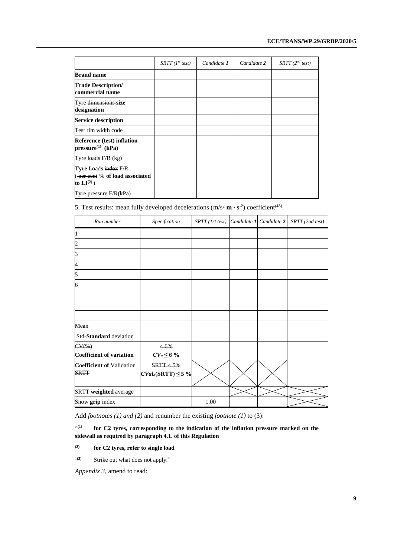|                                                                                  | $SRTT$ (1 <sup>st</sup> test) | Candidate 1 | Candidate 2 | $SRTT$ (2 <sup>nd</sup> test) |
|----------------------------------------------------------------------------------|-------------------------------|-------------|-------------|-------------------------------|
| <b>Brand name</b>                                                                |                               |             |             |                               |
| <b>Trade Description/</b><br>commercial name                                     |                               |             |             |                               |
| Tyre dimensions size<br>designation                                              |                               |             |             |                               |
| <b>Service description</b>                                                       |                               |             |             |                               |
| Test rim width code                                                              |                               |             |             |                               |
| <b>Reference (test) inflation</b><br>$pressure^{(1)}$ (kPa)                      |                               |             |             |                               |
| Tyre loads $F/R$ (kg)                                                            |                               |             |             |                               |
| <b>Tyre Loads index F/R</b><br>(per cent % of load associated<br>to $LI^{(2)}$ ) |                               |             |             |                               |
| Tyre pressure $F/R(kPa)$                                                         |                               |             |             |                               |

5. Test results: mean fully developed decelerations  $(m/s^2 m \cdot s^2)$  coefficient<sup>(43)</sup>.

| Run number                                      | Specification                         | SRTT (1st test) | Candidate 1 Candidate 2 | SRTT (2nd test) |
|-------------------------------------------------|---------------------------------------|-----------------|-------------------------|-----------------|
| 11                                              |                                       |                 |                         |                 |
| 2                                               |                                       |                 |                         |                 |
| 3                                               |                                       |                 |                         |                 |
| 4                                               |                                       |                 |                         |                 |
| 5                                               |                                       |                 |                         |                 |
| 6                                               |                                       |                 |                         |                 |
|                                                 |                                       |                 |                         |                 |
|                                                 |                                       |                 |                         |                 |
|                                                 |                                       |                 |                         |                 |
| Mean                                            |                                       |                 |                         |                 |
| <b>Std-Standard</b> deviation                   |                                       |                 |                         |                 |
| $CV(\%)$                                        | $\leftarrow 6\%$                      |                 |                         |                 |
| <b>Coefficient of variation</b>                 | $CV_a \leq 6\%$                       |                 |                         |                 |
| <b>Coefficient of Validation</b><br><b>SRTT</b> | SRTT < 5%<br>$CVal_a(SRTT) \leq 5 \%$ |                 |                         |                 |
| SRTT weighted average                           |                                       |                 |                         |                 |
| Snow grip index                                 |                                       | 1.00            |                         |                 |

Add *footnotes (1) and (2)* and renumber the existing *footnote (1)* to (3):

 $\mathfrak{c}(1)$ **(1) for C2 tyres, corresponding to the indication of the inflation pressure marked on the sidewall as required by paragraph 4.1. of this Regulation** 

### **(2) for C2 tyres, refer to single load**

<sup>1(3)</sup> Strike out what does not apply."

*Appendix 3,* amend to read: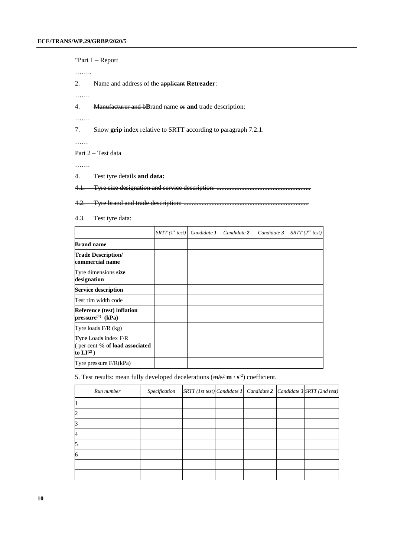"Part 1 – Report …….. 2. Name and address of the applicant **Retreader**: ……. 4. Manufacturer and b**B**rand name or **and** trade description: ……. 7. Snow **grip** index relative to SRTT according to paragraph 7.2.1.

……

Part 2 – Test data

…….

4. Test tyre details **and data:**

4.1. Tyre size designation and service description: ..........

4.2. Tyre brand and trade description: ............................................................................

4.3. Test tyre data:

|                                                                                                     | $SRTT$ (1st test) | Candidate 1 | Candidate 2 | Candidate 3 | $SRTT$ (2 <sup>nd</sup> test) |
|-----------------------------------------------------------------------------------------------------|-------------------|-------------|-------------|-------------|-------------------------------|
| <b>Brand name</b>                                                                                   |                   |             |             |             |                               |
| <b>Trade Description/</b><br>commercial name                                                        |                   |             |             |             |                               |
| Tyre dimensions size<br>designation                                                                 |                   |             |             |             |                               |
| <b>Service description</b>                                                                          |                   |             |             |             |                               |
| Test rim width code                                                                                 |                   |             |             |             |                               |
| <b>Reference (test) inflation</b><br>$pressure^{(1)}$ (kPa)                                         |                   |             |             |             |                               |
| Tyre loads $F/R$ (kg)                                                                               |                   |             |             |             |                               |
| <b>Tyre</b> Loads index F/R<br>$\sqrt{p_{\text{eff}}}$ eent % of load associated<br>to $LI^{(2)}$ ) |                   |             |             |             |                               |
| Tyre pressure $F/R(kPa)$                                                                            |                   |             |             |             |                               |

5. Test results: mean fully developed decelerations (m/s² **m ∙ s -2** ) coefficient.

| Run number | Specification |  |  | $ SRTT $ (1st test) Candidate 1 Candidate 2 Candidate 3 SRTT (2nd test) |
|------------|---------------|--|--|-------------------------------------------------------------------------|
|            |               |  |  |                                                                         |
|            |               |  |  |                                                                         |
|            |               |  |  |                                                                         |
|            |               |  |  |                                                                         |
|            |               |  |  |                                                                         |
| 6          |               |  |  |                                                                         |
|            |               |  |  |                                                                         |
|            |               |  |  |                                                                         |